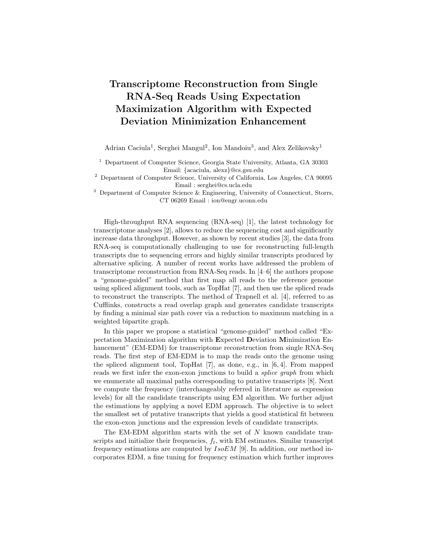## **Transcriptome Reconstruction from Single RNA-Seq Reads Using Expectation Maximization Algorithm with Expected Deviation Minimization Enhancement**

Adrian Caciula<sup>1</sup>, Serghei Mangul<sup>2</sup>, Ion Mandoiu<sup>3</sup>, and Alex Zelikovsky<sup>1</sup>

<sup>1</sup> Department of Computer Science, Georgia State University, Atlanta, GA 30303 Email: *{*acaciula, alexz*}*@cs.gsu.edu

<sup>2</sup> Department of Computer Science, University of California, Los Angeles, CA 90095 Email : serghei@cs.ucla.edu

<sup>3</sup> Department of Computer Science & Engineering, University of Connecticut, Storrs, CT 06269 Email : ion@engr.uconn.edu

High-throughput RNA sequencing (RNA-seq) [1], the latest technology for transcriptome analyses [2], allows to reduce the sequencing cost and significantly increase data throughput. However, as shown by recent studies [3], the data from RNA-seq is computationally challenging to use for reconstructing full-length transcripts due to sequencing errors and highly similar transcripts produced by alternative splicing. A number of recent works have addressed the problem of transcriptome reconstruction from RNA-Seq reads. In [4–6] the authors propose a "genome-guided" method that first map all reads to the reference genome using spliced alignment tools, such as TopHat [7], and then use the spliced reads to reconstruct the transcripts. The method of Trapnell et al. [4], referred to as Cufflinks, constructs a read overlap graph and generates candidate transcripts by finding a minimal size path cover via a reduction to maximum matching in a weighted bipartite graph.

In this paper we propose a statistical "genome-guided" method called "Expectation Maximization algorithm with **E**xpected **D**eviation **M**inimization Enhancement" (EM-EDM) for transcriptome reconstruction from single RNA-Seq reads. The first step of EM-EDM is to map the reads onto the genome using the spliced alignment tool, TopHat [7], as done, e.g., in [6, 4]. From mapped reads we first infer the exon-exon junctions to build a *splice graph* from which we enumerate all maximal paths corresponding to putative transcripts [8]. Next we compute the frequency (interchangeably referred in literature as expression levels) for all the candidate transcripts using EM algorithm. We further adjust the estimations by applying a novel EDM approach. The objective is to select the smallest set of putative transcripts that yields a good statistical fit between the exon-exon junctions and the expression levels of candidate transcripts.

The EM-EDM algorithm starts with the set of *N* known candidate transcripts and initialize their frequencies,  $f_t$ , with EM estimates. Similar transcript frequency estimations are computed by *IsoEM* [9]. In addition, our method incorporates EDM, a fine tuning for frequency estimation which further improves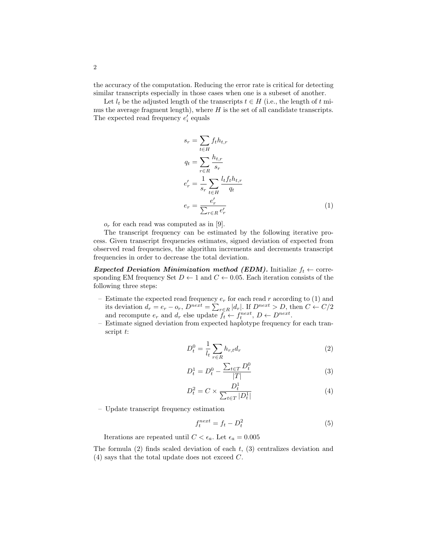the accuracy of the computation. Reducing the error rate is critical for detecting similar transcripts especially in those cases when one is a subeset of another.

Let  $l_t$  be the adjusted length of the transcripts  $t \in H$  (i.e., the length of  $t$  minus the average fragment length), where *H* is the set of all candidate transcripts. The expected read frequency  $e'_{i}$  equals

$$
s_r = \sum_{t \in H} f_t h_{t,r}
$$
  
\n
$$
q_t = \sum_{r \in R} \frac{h_{t,r}}{s_r}
$$
  
\n
$$
e'_r = \frac{1}{s_r} \sum_{t \in H} \frac{l_t f_t h_{t,r}}{q_t}
$$
  
\n
$$
e_r = \frac{e'_r}{\sum_{r \in R} e'_r}
$$
\n(1)

 $o_r$  for each read was computed as in [9].

The transcript frequency can be estimated by the following iterative process. Given transcript frequencies estimates, signed deviation of expected from observed read frequencies, the algorithm increments and decrements transcript frequencies in order to decrease the total deviation.

*Expected Deviation Minimization method (EDM).* Initialize  $f_t \leftarrow$  corresponding EM frequency Set  $D \leftarrow 1$  and  $C \leftarrow 0.05$ . Each iteration consists of the following three steps:

- Estimate the expected read frequency *e<sup>r</sup>* for each read *r* according to (1) and its deviation  $d_r = e_r - o_r$ ,  $D^{next} = \sum_{r \in R} |d_r|$ . If  $D^{next} > D$ , then  $C \leftarrow C/2$ and recompute  $e_r$  and  $d_r$  else update  $f_t \leftarrow f_t^{next}, D \leftarrow D^{next}$ .
- Estimate signed deviation from expected haplotype frequency for each transcript *t*:

$$
D_t^0 = \frac{1}{l_t} \sum_{r \in R} h_{r,t} d_r \tag{2}
$$

$$
D_t^1 = D_t^0 - \frac{\sum_{t \in T} D_t^0}{|T|} \tag{3}
$$

$$
D_t^2 = C \times \frac{D_t^1}{\sum_{t \in T} |D_t^1|} \tag{4}
$$

– Update transcript frequency estimation

$$
f_t^{next} = f_t - D_t^2 \tag{5}
$$

Iterations are repeated until  $C < \epsilon_a$ . Let  $\epsilon_a = 0.005$ 

The formula (2) finds scaled deviation of each *t*, (3) centralizes deviation and (4) says that the total update does not exceed *C*.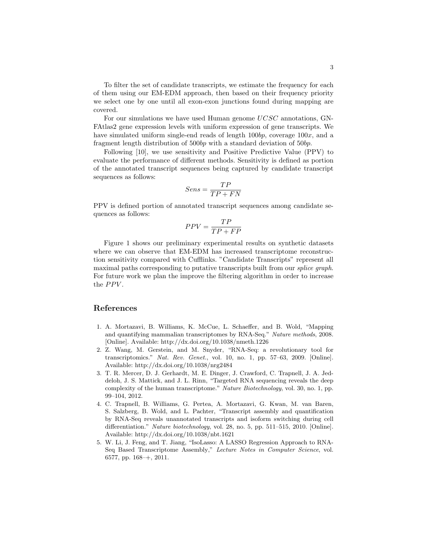To filter the set of candidate transcripts, we estimate the frequency for each of them using our EM-EDM approach, then based on their frequency priority we select one by one until all exon-exon junctions found during mapping are covered.

For our simulations we have used Human genome *UCSC* annotations, GN-FAtlas2 gene expression levels with uniform expression of gene transcripts. We have simulated uniform single-end reads of length 100*bp*, coverage 100*x*, and a fragment length distribution of 500*bp* with a standard deviation of 50*bp*.

Following [10], we use sensitivity and Positive Predictive Value (PPV) to evaluate the performance of different methods. Sensitivity is defined as portion of the annotated transcript sequences being captured by candidate transcript sequences as follows:

$$
Sens = \frac{TP}{TP + FN}
$$

PPV is defined portion of annotated transcript sequences among candidate sequences as follows:

$$
PPV = \frac{TP}{TP + FP}
$$

Figure 1 shows our preliminary experimental results on synthetic datasets where we can observe that EM-EDM has increased transcriptome reconstruction sensitivity compared with Cufflinks. "Candidate Transcripts" represent all maximal paths corresponding to putative transcripts built from our *splice graph*. For future work we plan the improve the filtering algorithm in order to increase the *PPV*.

## **References**

- 1. A. Mortazavi, B. Williams, K. McCue, L. Schaeffer, and B. Wold, "Mapping and quantifying mammalian transcriptomes by RNA-Seq." *Nature methods*, 2008. [Online]. Available: http://dx.doi.org/10.1038/nmeth.1226
- 2. Z. Wang, M. Gerstein, and M. Snyder, "RNA-Seq: a revolutionary tool for transcriptomics." *Nat. Rev. Genet.*, vol. 10, no. 1, pp. 57–63, 2009. [Online]. Available: http://dx.doi.org/10.1038/nrg2484
- 3. T. R. Mercer, D. J. Gerhardt, M. E. Dinger, J. Crawford, C. Trapnell, J. A. Jeddeloh, J. S. Mattick, and J. L. Rinn, "Targeted RNA sequencing reveals the deep complexity of the human transcriptome." *Nature Biotechnology*, vol. 30, no. 1, pp. 99–104, 2012.
- 4. C. Trapnell, B. Williams, G. Pertea, A. Mortazavi, G. Kwan, M. van Baren, S. Salzberg, B. Wold, and L. Pachter, "Transcript assembly and quantification by RNA-Seq reveals unannotated transcripts and isoform switching during cell differentiation." *Nature biotechnology*, vol. 28, no. 5, pp. 511–515, 2010. [Online]. Available: http://dx.doi.org/10.1038/nbt.1621
- 5. W. Li, J. Feng, and T. Jiang, "IsoLasso: A LASSO Regression Approach to RNA-Seq Based Transcriptome Assembly," *Lecture Notes in Computer Science*, vol. 6577, pp. 168–+, 2011.